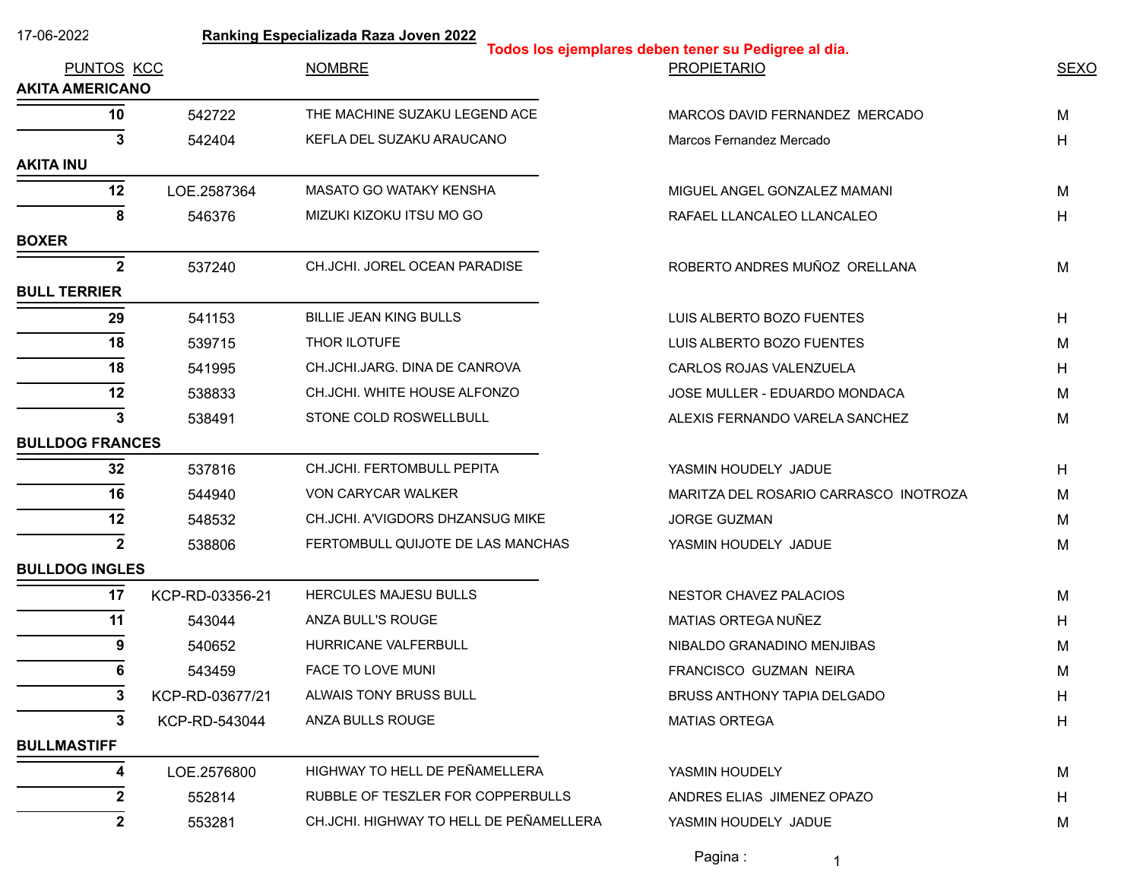| 17-06-2022             |                 | Ranking Especializada Raza Joven 2022   | Todos los ejemplares deben tener su Pedigree al día. |             |
|------------------------|-----------------|-----------------------------------------|------------------------------------------------------|-------------|
| PUNTOS KCC             |                 | <b>NOMBRE</b>                           | <b>PROPIETARIO</b>                                   | <b>SEXO</b> |
| <b>AKITA AMERICANO</b> |                 |                                         |                                                      |             |
| 10                     | 542722          | THE MACHINE SUZAKU LEGEND ACE           | MARCOS DAVID FERNANDEZ MERCADO                       | M           |
| 3                      | 542404          | KEFLA DEL SUZAKU ARAUCANO               | Marcos Fernandez Mercado                             | Η           |
| <b>AKITA INU</b>       |                 |                                         |                                                      |             |
| 12                     | LOE.2587364     | MASATO GO WATAKY KENSHA                 | MIGUEL ANGEL GONZALEZ MAMANI                         | М           |
| 8                      | 546376          | MIZUKI KIZOKU ITSU MO GO                | RAFAEL LLANCALEO LLANCALEO                           | H           |
| <b>BOXER</b>           |                 |                                         |                                                      |             |
| $\mathbf{2}$           | 537240          | CH.JCHI. JOREL OCEAN PARADISE           | ROBERTO ANDRES MUÑOZ ORELLANA                        | M           |
| <b>BULL TERRIER</b>    |                 |                                         |                                                      |             |
| 29                     | 541153          | <b>BILLIE JEAN KING BULLS</b>           | LUIS ALBERTO BOZO FUENTES                            | Н           |
| 18                     | 539715          | THOR ILOTUFE                            | LUIS ALBERTO BOZO FUENTES                            | м           |
| 18                     | 541995          | CH.JCHI.JARG. DINA DE CANROVA           | CARLOS ROJAS VALENZUELA                              | Н           |
| 12                     | 538833          | CH.JCHI. WHITE HOUSE ALFONZO            | JOSE MULLER - EDUARDO MONDACA                        | М           |
| 3                      | 538491          | STONE COLD ROSWELLBULL                  | ALEXIS FERNANDO VARELA SANCHEZ                       | Μ           |
| <b>BULLDOG FRANCES</b> |                 |                                         |                                                      |             |
| 32                     | 537816          | CH.JCHI. FERTOMBULL PEPITA              | YASMIN HOUDELY JADUE                                 | Η           |
| 16                     | 544940          | VON CARYCAR WALKER                      | MARITZA DEL ROSARIO CARRASCO INOTROZA                | м           |
| 12                     | 548532          | CH.JCHI. A'VIGDORS DHZANSUG MIKE        | <b>JORGE GUZMAN</b>                                  | M           |
| $\mathbf{2}$           | 538806          | FERTOMBULL QUIJOTE DE LAS MANCHAS       | YASMIN HOUDELY JADUE                                 | M           |
| <b>BULLDOG INGLES</b>  |                 |                                         |                                                      |             |
| 17                     | KCP-RD-03356-21 | HERCULES MAJESU BULLS                   | NESTOR CHAVEZ PALACIOS                               | M           |
| 11                     | 543044          | ANZA BULL'S ROUGE                       | MATIAS ORTEGA NUÑEZ                                  | Н           |
| 9                      | 540652          | HURRICANE VALFERBULL                    | NIBALDO GRANADINO MENJIBAS                           | M           |
| 6                      | 543459          | FACE TO LOVE MUNI                       | FRANCISCO GUZMAN NEIRA                               | M           |
| 3                      | KCP-RD-03677/21 | ALWAIS TONY BRUSS BULL                  | BRUSS ANTHONY TAPIA DELGADO                          | н           |
| 3                      | KCP-RD-543044   | ANZA BULLS ROUGE                        | <b>MATIAS ORTEGA</b>                                 | H           |
| <b>BULLMASTIFF</b>     |                 |                                         |                                                      |             |
| 4                      | LOE.2576800     | HIGHWAY TO HELL DE PEÑAMELLERA          | YASMIN HOUDELY                                       | M           |
| 2                      | 552814          | RUBBLE OF TESZLER FOR COPPERBULLS       | ANDRES ELIAS JIMENEZ OPAZO                           | н           |
| $\mathbf{2}$           | 553281          | CH.JCHI. HIGHWAY TO HELL DE PEÑAMELLERA | YASMIN HOUDELY JADUE                                 | M           |
|                        |                 |                                         |                                                      |             |

Pagina : 1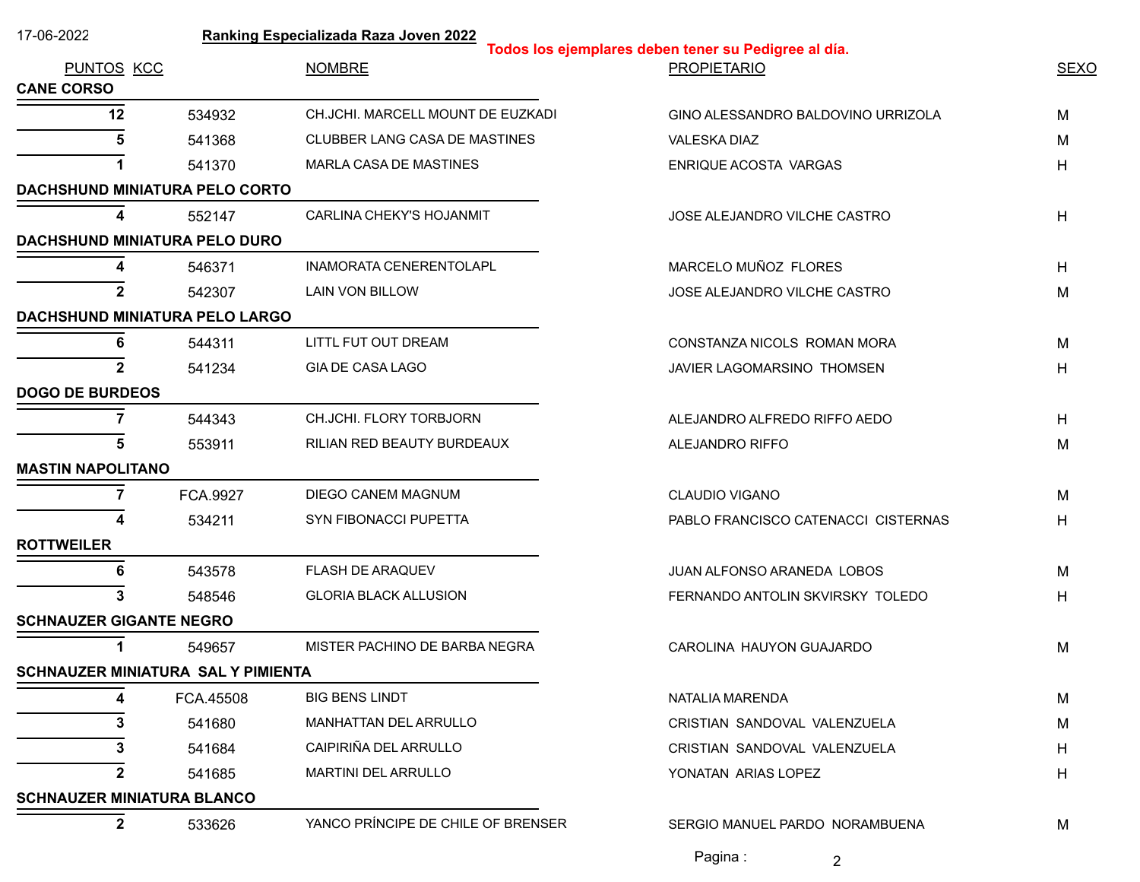| 17-06-2022                                | Ranking Especializada Raza Joven 2022<br>Todos los ejemplares deben tener su Pedigree al día. |                                    |                                     |             |  |  |
|-------------------------------------------|-----------------------------------------------------------------------------------------------|------------------------------------|-------------------------------------|-------------|--|--|
| PUNTOS KCC<br><b>CANE CORSO</b>           |                                                                                               | <b>NOMBRE</b>                      | <b>PROPIETARIO</b>                  | <b>SEXO</b> |  |  |
| 12                                        | 534932                                                                                        | CH.JCHI. MARCELL MOUNT DE EUZKADI  | GINO ALESSANDRO BALDOVINO URRIZOLA  | М           |  |  |
|                                           | 541368                                                                                        | CLUBBER LANG CASA DE MASTINES      | VALESKA DIAZ                        | М           |  |  |
|                                           | 541370                                                                                        | MARLA CASA DE MASTINES             | ENRIQUE ACOSTA VARGAS               | Η           |  |  |
| DACHSHUND MINIATURA PELO CORTO            |                                                                                               |                                    |                                     |             |  |  |
|                                           | 552147                                                                                        | <b>CARLINA CHEKY'S HOJANMIT</b>    | JOSE ALEJANDRO VILCHE CASTRO        | H           |  |  |
| DACHSHUND MINIATURA PELO DURO             |                                                                                               |                                    |                                     |             |  |  |
| 4                                         | 546371                                                                                        | INAMORATA CENERENTOLAPL            | MARCELO MUÑOZ FLORES                | Η           |  |  |
| $\mathbf{2}$                              | 542307                                                                                        | LAIN VON BILLOW                    | JOSE ALEJANDRO VILCHE CASTRO        | М           |  |  |
| <b>DACHSHUND MINIATURA PELO LARGO</b>     |                                                                                               |                                    |                                     |             |  |  |
| 6                                         | 544311                                                                                        | LITTL FUT OUT DREAM                | CONSTANZA NICOLS ROMAN MORA         | м           |  |  |
|                                           | 541234                                                                                        | <b>GIA DE CASA LAGO</b>            | JAVIER LAGOMARSINO THOMSEN          | Η           |  |  |
| <b>DOGO DE BURDEOS</b>                    |                                                                                               |                                    |                                     |             |  |  |
|                                           | 544343                                                                                        | CH.JCHI. FLORY TORBJORN            | ALEJANDRO ALFREDO RIFFO AEDO        | H           |  |  |
| 5                                         | 553911                                                                                        | RILIAN RED BEAUTY BURDEAUX         | ALEJANDRO RIFFO                     | M           |  |  |
| <b>MASTIN NAPOLITANO</b>                  |                                                                                               |                                    |                                     |             |  |  |
| 7                                         | FCA.9927                                                                                      | DIEGO CANEM MAGNUM                 | <b>CLAUDIO VIGANO</b>               | M           |  |  |
|                                           | 534211                                                                                        | SYN FIBONACCI PUPETTA              | PABLO FRANCISCO CATENACCI CISTERNAS | Η           |  |  |
| <b>ROTTWEILER</b>                         |                                                                                               |                                    |                                     |             |  |  |
|                                           | 543578                                                                                        | FLASH DE ARAQUEV                   | JUAN ALFONSO ARANEDA LOBOS          | M           |  |  |
| 3                                         | 548546                                                                                        | <b>GLORIA BLACK ALLUSION</b>       | FERNANDO ANTOLIN SKVIRSKY TOLEDO    | н           |  |  |
| <b>SCHNAUZER GIGANTE NEGRO</b>            |                                                                                               |                                    |                                     |             |  |  |
|                                           | 549657                                                                                        | MISTER PACHINO DE BARBA NEGRA      | CAROLINA HAUYON GUAJARDO            | M           |  |  |
| <b>SCHNAUZER MINIATURA SAL Y PIMIENTA</b> |                                                                                               |                                    |                                     |             |  |  |
|                                           | FCA.45508                                                                                     | <b>BIG BENS LINDT</b>              | NATALIA MARENDA                     | M           |  |  |
|                                           | 541680                                                                                        | <b>MANHATTAN DEL ARRULLO</b>       | CRISTIAN SANDOVAL VALENZUELA        | М           |  |  |
|                                           | 541684                                                                                        | CAIPIRIÑA DEL ARRULLO              | CRISTIAN SANDOVAL VALENZUELA        | н           |  |  |
| 2                                         | 541685                                                                                        | MARTINI DEL ARRULLO                | YONATAN ARIAS LOPEZ                 | Η           |  |  |
| <b>SCHNAUZER MINIATURA BLANCO</b>         |                                                                                               |                                    |                                     |             |  |  |
| $\mathbf{2}$                              | 533626                                                                                        | YANCO PRÍNCIPE DE CHILE OF BRENSER | SERGIO MANUEL PARDO NORAMBUENA      | M           |  |  |
|                                           |                                                                                               |                                    | Pagina:<br>2                        |             |  |  |